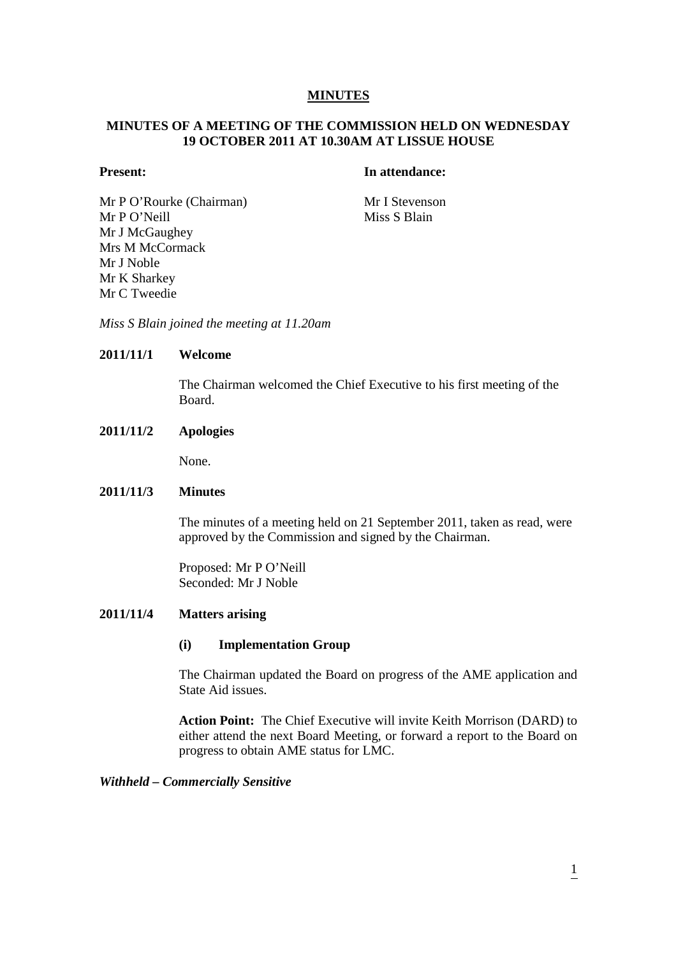## **MINUTES**

# **MINUTES OF A MEETING OF THE COMMISSION HELD ON WEDNESDAY 19 OCTOBER 2011 AT 10.30AM AT LISSUE HOUSE**

# **Present:** In attendance:

Mr P O'Rourke (Chairman) Mr I Stevenson Mr P O'Neill Miss S Blain Mr J McGaughey Mrs M McCormack Mr J Noble Mr K Sharkey Mr C Tweedie

*Miss S Blain joined the meeting at 11.20am* 

# **2011/11/1 Welcome**

The Chairman welcomed the Chief Executive to his first meeting of the Board.

## **2011/11/2 Apologies**

None.

# **2011/11/3 Minutes**

The minutes of a meeting held on 21 September 2011, taken as read, were approved by the Commission and signed by the Chairman.

Proposed: Mr P O'Neill Seconded: Mr J Noble

### **2011/11/4 Matters arising**

### **(i) Implementation Group**

The Chairman updated the Board on progress of the AME application and State Aid issues.

**Action Point:** The Chief Executive will invite Keith Morrison (DARD) to either attend the next Board Meeting, or forward a report to the Board on progress to obtain AME status for LMC.

## *Withheld – Commercially Sensitive*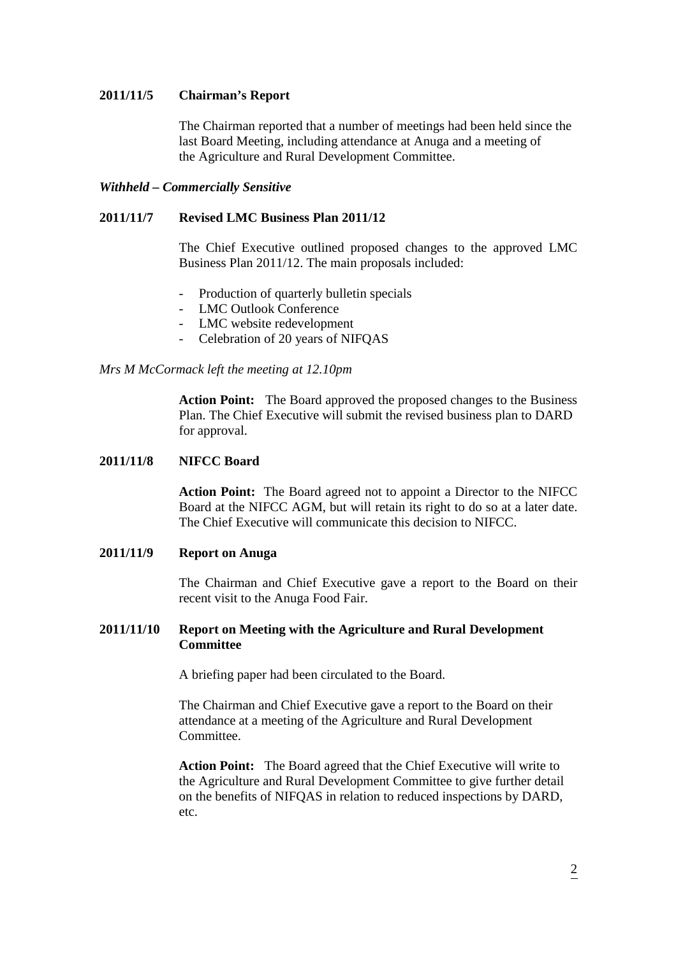## **2011/11/5 Chairman's Report**

The Chairman reported that a number of meetings had been held since the last Board Meeting, including attendance at Anuga and a meeting of the Agriculture and Rural Development Committee.

## *Withheld – Commercially Sensitive*

## **2011/11/7 Revised LMC Business Plan 2011/12**

The Chief Executive outlined proposed changes to the approved LMC Business Plan 2011/12. The main proposals included:

- Production of quarterly bulletin specials
- LMC Outlook Conference
- LMC website redevelopment
- Celebration of 20 years of NIFQAS

### *Mrs M McCormack left the meeting at 12.10pm*

**Action Point:** The Board approved the proposed changes to the Business Plan. The Chief Executive will submit the revised business plan to DARD for approval.

## **2011/11/8 NIFCC Board**

**Action Point:** The Board agreed not to appoint a Director to the NIFCC Board at the NIFCC AGM, but will retain its right to do so at a later date. The Chief Executive will communicate this decision to NIFCC.

# **2011/11/9 Report on Anuga**

The Chairman and Chief Executive gave a report to the Board on their recent visit to the Anuga Food Fair.

# **2011/11/10 Report on Meeting with the Agriculture and Rural Development Committee**

A briefing paper had been circulated to the Board.

 The Chairman and Chief Executive gave a report to the Board on their attendance at a meeting of the Agriculture and Rural Development Committee.

 **Action Point:** The Board agreed that the Chief Executive will write to the Agriculture and Rural Development Committee to give further detail on the benefits of NIFQAS in relation to reduced inspections by DARD, etc.